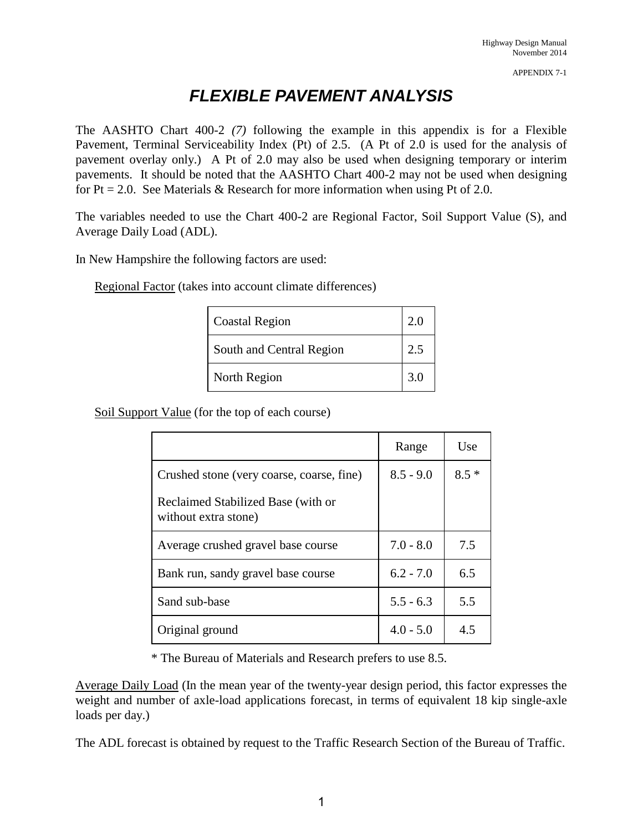## *FLEXIBLE PAVEMENT ANALYSIS*

The AASHTO Chart 400-2 *(7)* following the example in this appendix is for a Flexible Pavement, Terminal Serviceability Index (Pt) of 2.5. (A Pt of 2.0 is used for the analysis of pavement overlay only.) A Pt of 2.0 may also be used when designing temporary or interim pavements. It should be noted that the AASHTO Chart 400-2 may not be used when designing for  $Pt = 2.0$ . See Materials & Research for more information when using Pt of 2.0.

The variables needed to use the Chart 400-2 are Regional Factor, Soil Support Value (S), and Average Daily Load (ADL).

In New Hampshire the following factors are used:

Regional Factor (takes into account climate differences)

| <b>Coastal Region</b>    | 2.0 |
|--------------------------|-----|
| South and Central Region | 2.5 |
| North Region             | 3.0 |

Soil Support Value (for the top of each course)

|                                                            | Range       | Use    |
|------------------------------------------------------------|-------------|--------|
| Crushed stone (very coarse, coarse, fine)                  | $8.5 - 9.0$ | $8.5*$ |
| Reclaimed Stabilized Base (with or<br>without extra stone) |             |        |
| Average crushed gravel base course                         | $7.0 - 8.0$ | 7.5    |
| Bank run, sandy gravel base course                         | $6.2 - 7.0$ | 6.5    |
| Sand sub-base                                              | $5.5 - 6.3$ | 5.5    |
| Original ground                                            | $4.0 - 5.0$ | 4.5    |

\* The Bureau of Materials and Research prefers to use 8.5.

Average Daily Load (In the mean year of the twenty-year design period, this factor expresses the weight and number of axle-load applications forecast, in terms of equivalent 18 kip single-axle loads per day.)

The ADL forecast is obtained by request to the Traffic Research Section of the Bureau of Traffic.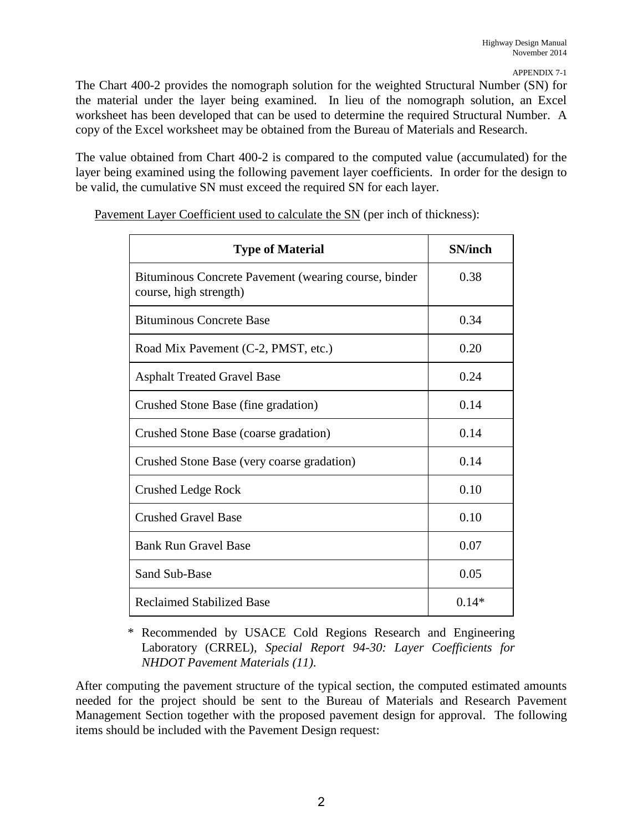The Chart 400-2 provides the nomograph solution for the weighted Structural Number (SN) for the material under the layer being examined. In lieu of the nomograph solution, an Excel worksheet has been developed that can be used to determine the required Structural Number. A copy of the Excel worksheet may be obtained from the Bureau of Materials and Research.

The value obtained from Chart 400-2 is compared to the computed value (accumulated) for the layer being examined using the following pavement layer coefficients. In order for the design to be valid, the cumulative SN must exceed the required SN for each layer.

| <b>Type of Material</b>                                                        | <b>SN/inch</b> |
|--------------------------------------------------------------------------------|----------------|
| Bituminous Concrete Pavement (wearing course, binder<br>course, high strength) | 0.38           |
| <b>Bituminous Concrete Base</b>                                                | 0.34           |
| Road Mix Pavement (C-2, PMST, etc.)                                            | 0.20           |
| <b>Asphalt Treated Gravel Base</b>                                             | 0.24           |
| Crushed Stone Base (fine gradation)                                            | 0.14           |
| Crushed Stone Base (coarse gradation)                                          | 0.14           |
| Crushed Stone Base (very coarse gradation)                                     | 0.14           |
| <b>Crushed Ledge Rock</b>                                                      | 0.10           |
| <b>Crushed Gravel Base</b>                                                     | 0.10           |
| <b>Bank Run Gravel Base</b>                                                    | 0.07           |
| <b>Sand Sub-Base</b>                                                           | 0.05           |
| <b>Reclaimed Stabilized Base</b>                                               | $0.14*$        |

Pavement Layer Coefficient used to calculate the SN (per inch of thickness):

\* Recommended by USACE Cold Regions Research and Engineering Laboratory (CRREL), *Special Report 94-30: Layer Coefficients for NHDOT Pavement Materials (11)*.

After computing the pavement structure of the typical section, the computed estimated amounts needed for the project should be sent to the Bureau of Materials and Research Pavement Management Section together with the proposed pavement design for approval. The following items should be included with the Pavement Design request: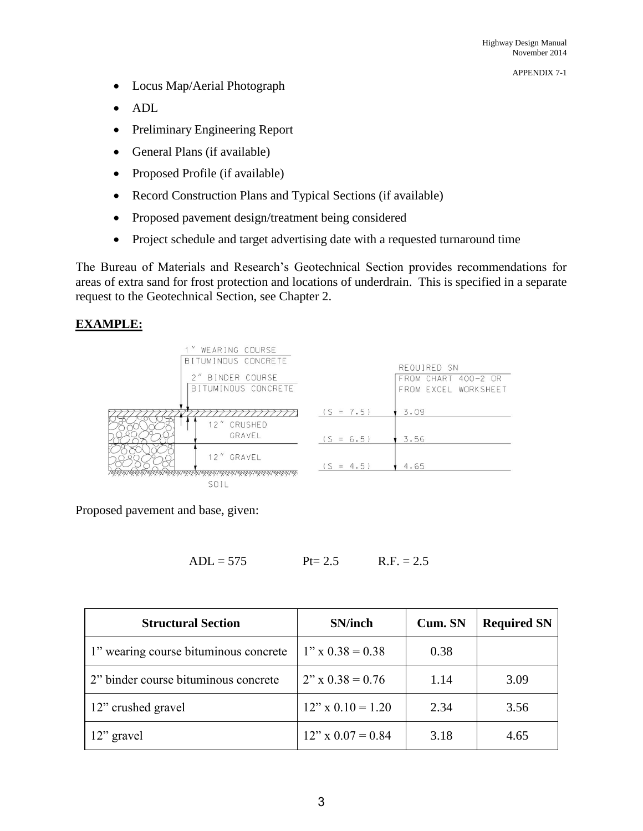APPENDIX 7-1

- Locus Map/Aerial Photograph
- ADL
- Preliminary Engineering Report
- General Plans (if available)
- Proposed Profile (if available)
- Record Construction Plans and Typical Sections (if available)
- Proposed pavement design/treatment being considered
- Project schedule and target advertising date with a requested turnaround time

The Bureau of Materials and Research's Geotechnical Section provides recommendations for areas of extra sand for frost protection and locations of underdrain. This is specified in a separate request to the Geotechnical Section, see Chapter 2.

## **EXAMPLE:**



Proposed pavement and base, given:

$$
ADL = 575
$$
  $Pt = 2.5$   $R.F. = 2.5$ 

| <b>Structural Section</b>             | <b>SN/inch</b>         | Cum. SN | <b>Required SN</b> |
|---------------------------------------|------------------------|---------|--------------------|
| 1" wearing course bituminous concrete | $1''$ x $0.38 = 0.38$  | 0.38    |                    |
| 2" binder course bituminous concrete  | $2''$ x $0.38 = 0.76$  | 1.14    | 3.09               |
| 12" crushed gravel                    | $12''$ x $0.10 = 1.20$ | 2.34    | 3.56               |
| 12" gravel                            | $12''$ x $0.07 = 0.84$ | 3.18    | 4.65               |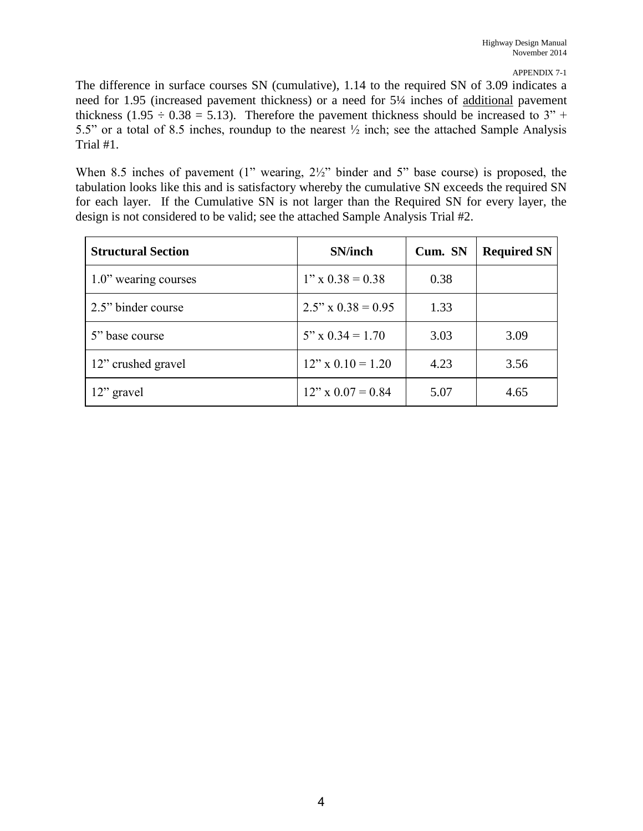The difference in surface courses SN (cumulative), 1.14 to the required SN of 3.09 indicates a need for 1.95 (increased pavement thickness) or a need for 5¼ inches of additional pavement thickness (1.95  $\div$  0.38 = 5.13). Therefore the pavement thickness should be increased to 3" + 5.5" or a total of 8.5 inches, roundup to the nearest ½ inch; see the attached Sample Analysis Trial #1.

When 8.5 inches of pavement (1" wearing,  $2\frac{1}{2}$ " binder and 5" base course) is proposed, the tabulation looks like this and is satisfactory whereby the cumulative SN exceeds the required SN for each layer. If the Cumulative SN is not larger than the Required SN for every layer, the design is not considered to be valid; see the attached Sample Analysis Trial #2.

| <b>Structural Section</b> | <b>SN/inch</b>             | Cum. SN | <b>Required SN</b> |
|---------------------------|----------------------------|---------|--------------------|
| 1.0" wearing courses      | $1'' \times 0.38 = 0.38$   | 0.38    |                    |
| 2.5" binder course        | $2.5'' \times 0.38 = 0.95$ | 1.33    |                    |
| 5" base course            | $5''$ x $0.34 = 1.70$      | 3.03    | 3.09               |
| 12" crushed gravel        | $12''$ x $0.10 = 1.20$     | 4.23    | 3.56               |
| 12" gravel                | $12" \times 0.07 = 0.84$   | 5.07    | 4.65               |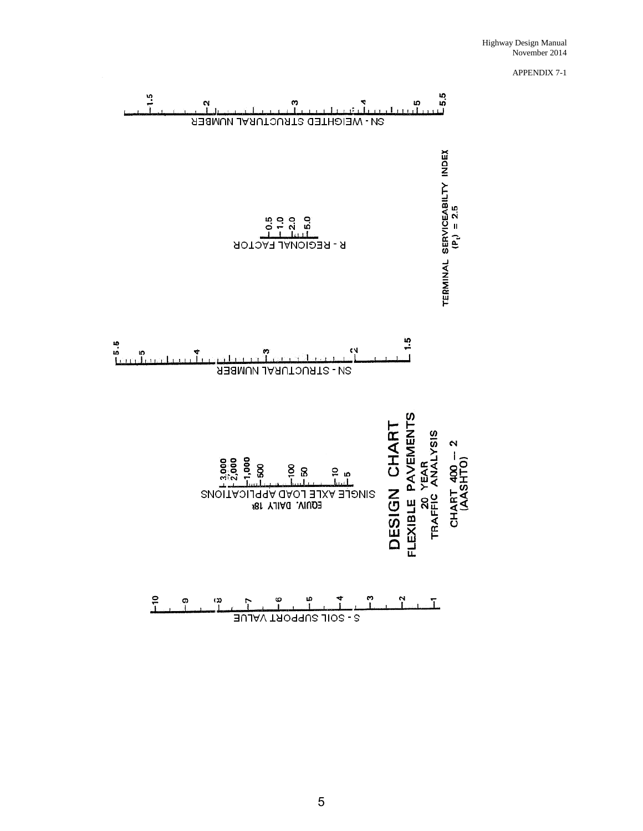

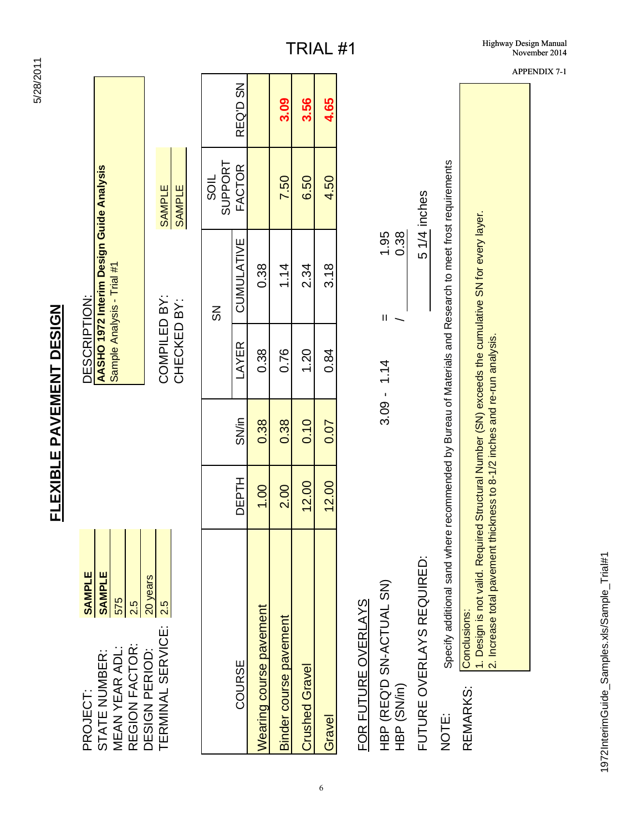| PROJECT:                                          | <b>SAMPLE</b>                                                                                                            |              |       | DESCRIPTION:                |                                                                        |                                |          |
|---------------------------------------------------|--------------------------------------------------------------------------------------------------------------------------|--------------|-------|-----------------------------|------------------------------------------------------------------------|--------------------------------|----------|
| REGION FACTOR:<br>MEAN YEAR ADL:<br>STATE NUMBER: | <b>SAMPLE</b><br>575<br>2.5                                                                                              |              |       |                             | AASHO 1972 Interim Design Guide Analysis<br>Sample Analysis - Trial #1 |                                |          |
| TERMINAL SERVICE:<br>DESIGN PERIOD:               | 20 years<br>2.5                                                                                                          |              |       | COMPILED BY:<br>CHECKED BY: |                                                                        | <b>SAMPLE</b><br><b>SAMPLE</b> |          |
|                                                   |                                                                                                                          |              |       |                             | $\frac{8}{2}$                                                          | SUPPORT<br><b>SOIL</b>         |          |
| COURSE                                            |                                                                                                                          | <b>DEPTH</b> | SN/in | LAYER                       | CUMULATIVE                                                             | FACTOR                         | REQ'D SN |
| Wearing course pavement                           |                                                                                                                          | 1.00         | 0.38  | 0.38                        | 0.38                                                                   |                                |          |
| Binder course pavement                            |                                                                                                                          | 2.00         | 0.38  | 0.76                        | 1.14                                                                   | 7.50                           | 3.09     |
| <b>Crushed Gravel</b>                             |                                                                                                                          | 12.00        | 0.10  | 1.20                        | 2.34                                                                   | 6.50                           | 3.56     |
| Gravel                                            |                                                                                                                          | 12.00        | 0.07  | 0.84                        | 3.18                                                                   | 4.50                           | 4.65     |
|                                                   | FOR FUTURE OVERLAYS                                                                                                      |              |       |                             |                                                                        |                                |          |
| HBP (SN/in)                                       | HBP (REQ'D SN-ACTUAL SN)                                                                                                 |              |       | $3.09 - 1.14$               | 0.38<br>1.95<br>$\mathsf{II}$                                          |                                |          |
|                                                   | FUTURE OVERLAYS REQUIRED:                                                                                                |              |       |                             |                                                                        | 51/4 inches                    |          |
| NOTE:                                             | Specify additional sand where recommended by Bureau of Materials and Research to meet frost requirements                 |              |       |                             |                                                                        |                                |          |
| REMARKS:                                          | . Design is not valid. Required Structural Number (SN) exceeds the cumulative SN for every layer.<br><b>Conclusions:</b> |              |       |                             |                                                                        |                                |          |

6

5/28/2011 5/28/2011

**FLEXIBLE PAVEMENT DESIGN**

**FLEXIBLE PAVEMENT DESIGN** 

2. Increase total pavement thickness to 8-1/2 inches and re-run analysis.

2. Increase total pavement thickness to 8-1/2 inches and re-run analysis.

APPENDIX 7-1

1972InterimGuide\_Samples.xls/Sample\_Trial#1 1972InterimGuide\_Samples.xls/Sample\_Trial#1